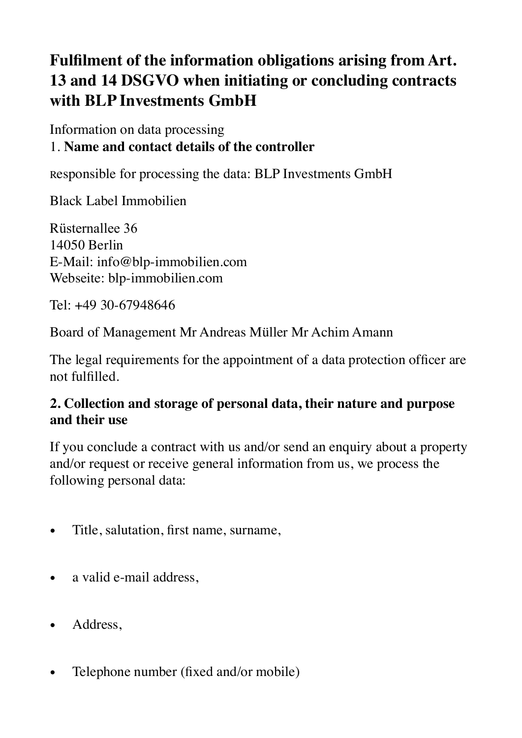# **Fulfilment of the information obligations arising from Art. 13 and 14 DSGVO when initiating or concluding contracts with BLP Investments GmbH**

Information on data processing 1. **Name and contact details of the controller**

Responsible for processing the data: BLP Investments GmbH

Black Label Immobilien

Rüsternallee 36 14050 Berlin E-Mail: info@blp-immobilien.com Webseite: blp-immobilien.com

Tel: +49 30-67948646

Board of Management Mr Andreas Müller Mr Achim Amann

The legal requirements for the appointment of a data protection officer are not fulfilled.

### **2. Collection and storage of personal data, their nature and purpose and their use**

If you conclude a contract with us and/or send an enquiry about a property and/or request or receive general information from us, we process the following personal data:

- Title, salutation, first name, surname,
- a valid e-mail address,
- Address,
- Telephone number (fixed and/or mobile)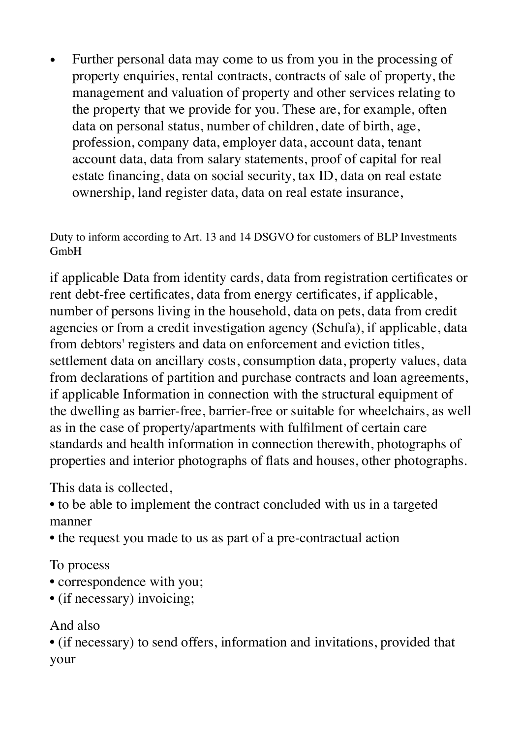• Further personal data may come to us from you in the processing of property enquiries, rental contracts, contracts of sale of property, the management and valuation of property and other services relating to the property that we provide for you. These are, for example, often data on personal status, number of children, date of birth, age, profession, company data, employer data, account data, tenant account data, data from salary statements, proof of capital for real estate financing, data on social security, tax ID, data on real estate ownership, land register data, data on real estate insurance,

Duty to inform according to Art. 13 and 14 DSGVO for customers of BLP Investments GmbH

if applicable Data from identity cards, data from registration certificates or rent debt-free certificates, data from energy certificates, if applicable, number of persons living in the household, data on pets, data from credit agencies or from a credit investigation agency (Schufa), if applicable, data from debtors' registers and data on enforcement and eviction titles, settlement data on ancillary costs, consumption data, property values, data from declarations of partition and purchase contracts and loan agreements, if applicable Information in connection with the structural equipment of the dwelling as barrier-free, barrier-free or suitable for wheelchairs, as well as in the case of property/apartments with fulfilment of certain care standards and health information in connection therewith, photographs of properties and interior photographs of flats and houses, other photographs.

This data is collected,

• to be able to implement the contract concluded with us in a targeted manner

• the request you made to us as part of a pre-contractual action

To process

- correspondence with you;
- (if necessary) invoicing;

### And also

• (if necessary) to send offers, information and invitations, provided that your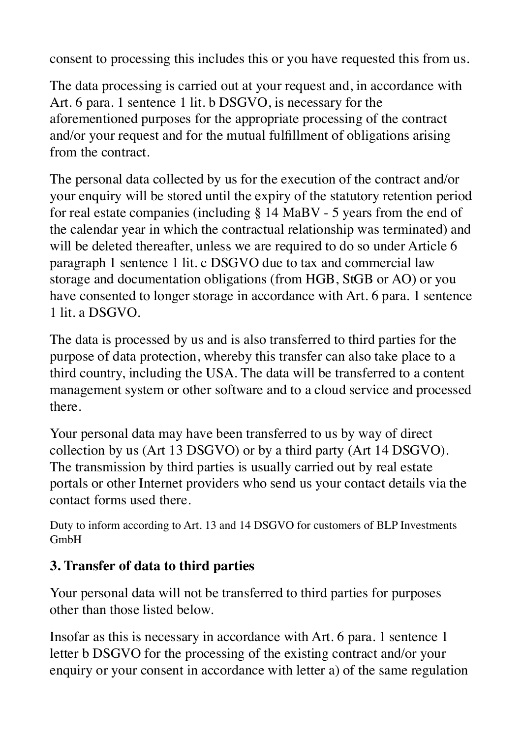consent to processing this includes this or you have requested this from us.

The data processing is carried out at your request and, in accordance with Art. 6 para. 1 sentence 1 lit. b DSGVO, is necessary for the aforementioned purposes for the appropriate processing of the contract and/or your request and for the mutual fulfillment of obligations arising from the contract.

The personal data collected by us for the execution of the contract and/or your enquiry will be stored until the expiry of the statutory retention period for real estate companies (including § 14 MaBV - 5 years from the end of the calendar year in which the contractual relationship was terminated) and will be deleted thereafter, unless we are required to do so under Article 6 paragraph 1 sentence 1 lit. c DSGVO due to tax and commercial law storage and documentation obligations (from HGB, StGB or AO) or you have consented to longer storage in accordance with Art. 6 para. 1 sentence 1 lit. a DSGVO.

The data is processed by us and is also transferred to third parties for the purpose of data protection, whereby this transfer can also take place to a third country, including the USA. The data will be transferred to a content management system or other software and to a cloud service and processed there.

Your personal data may have been transferred to us by way of direct collection by us (Art 13 DSGVO) or by a third party (Art 14 DSGVO). The transmission by third parties is usually carried out by real estate portals or other Internet providers who send us your contact details via the contact forms used there.

Duty to inform according to Art. 13 and 14 DSGVO for customers of BLP Investments GmbH

## **3. Transfer of data to third parties**

Your personal data will not be transferred to third parties for purposes other than those listed below.

Insofar as this is necessary in accordance with Art. 6 para. 1 sentence 1 letter b DSGVO for the processing of the existing contract and/or your enquiry or your consent in accordance with letter a) of the same regulation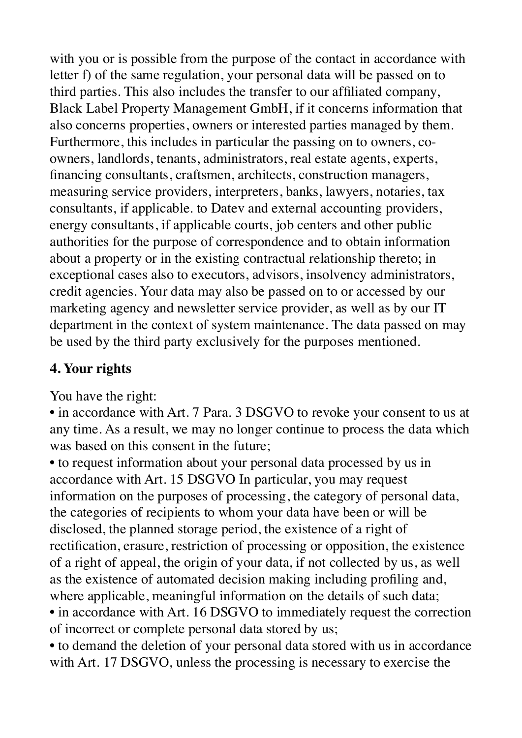with you or is possible from the purpose of the contact in accordance with letter f) of the same regulation, your personal data will be passed on to third parties. This also includes the transfer to our affiliated company, Black Label Property Management GmbH, if it concerns information that also concerns properties, owners or interested parties managed by them. Furthermore, this includes in particular the passing on to owners, coowners, landlords, tenants, administrators, real estate agents, experts, financing consultants, craftsmen, architects, construction managers, measuring service providers, interpreters, banks, lawyers, notaries, tax consultants, if applicable. to Datev and external accounting providers, energy consultants, if applicable courts, job centers and other public authorities for the purpose of correspondence and to obtain information about a property or in the existing contractual relationship thereto; in exceptional cases also to executors, advisors, insolvency administrators, credit agencies. Your data may also be passed on to or accessed by our marketing agency and newsletter service provider, as well as by our IT department in the context of system maintenance. The data passed on may be used by the third party exclusively for the purposes mentioned.

### **4. Your rights**

You have the right:

• in accordance with Art. 7 Para. 3 DSGVO to revoke your consent to us at any time. As a result, we may no longer continue to process the data which was based on this consent in the future;

• to request information about your personal data processed by us in accordance with Art. 15 DSGVO In particular, you may request information on the purposes of processing, the category of personal data, the categories of recipients to whom your data have been or will be disclosed, the planned storage period, the existence of a right of rectification, erasure, restriction of processing or opposition, the existence of a right of appeal, the origin of your data, if not collected by us, as well as the existence of automated decision making including profiling and, where applicable, meaningful information on the details of such data;

• in accordance with Art. 16 DSGVO to immediately request the correction of incorrect or complete personal data stored by us;

• to demand the deletion of your personal data stored with us in accordance with Art. 17 DSGVO, unless the processing is necessary to exercise the